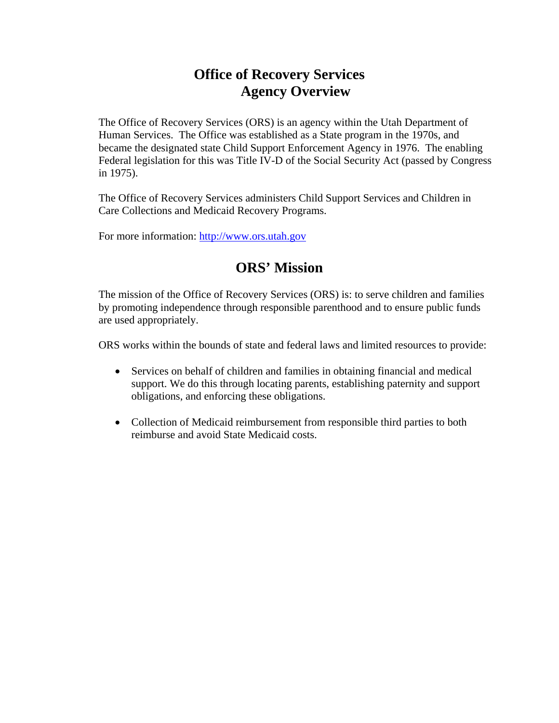# **Office of Recovery Services Agency Overview**

The Office of Recovery Services (ORS) is an agency within the Utah Department of Human Services. The Office was established as a State program in the 1970s, and became the designated state Child Support Enforcement Agency in 1976. The enabling Federal legislation for this was Title IV-D of the Social Security Act (passed by Congress in 1975).

The Office of Recovery Services administers Child Support Services and Children in Care Collections and Medicaid Recovery Programs.

For more information: http://www.ors.utah.gov

# **ORS' Mission**

The mission of the Office of Recovery Services (ORS) is: to serve children and families by promoting independence through responsible parenthood and to ensure public funds are used appropriately.

ORS works within the bounds of state and federal laws and limited resources to provide:

- Services on behalf of children and families in obtaining financial and medical support. We do this through locating parents, establishing paternity and support obligations, and enforcing these obligations.
- Collection of Medicaid reimbursement from responsible third parties to both reimburse and avoid State Medicaid costs.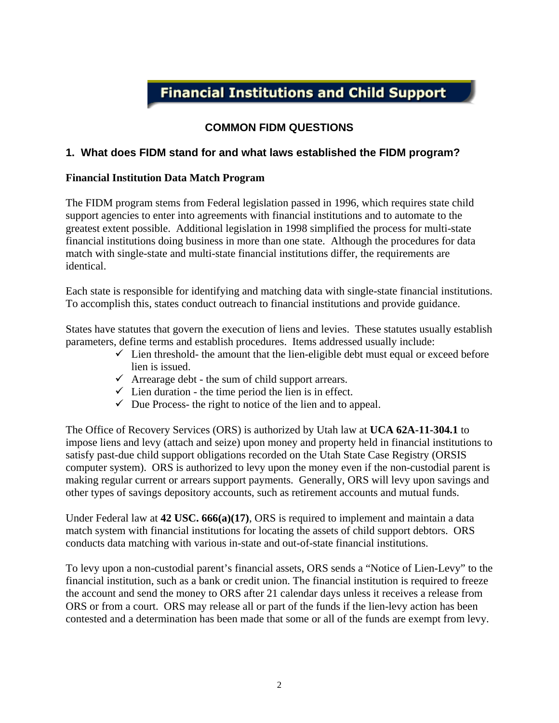# **Financial Institutions and Child Support**

## **COMMON FIDM QUESTIONS**

### **1. What does FIDM stand for and what laws established the FIDM program?**

#### **Financial Institution Data Match Program**

The FIDM program stems from Federal legislation passed in 1996, which requires state child support agencies to enter into agreements with financial institutions and to automate to the greatest extent possible. Additional legislation in 1998 simplified the process for multi-state financial institutions doing business in more than one state. Although the procedures for data match with single-state and multi-state financial institutions differ, the requirements are identical.

Each state is responsible for identifying and matching data with single-state financial institutions. To accomplish this, states conduct outreach to financial institutions and provide guidance.

States have statutes that govern the execution of liens and levies. These statutes usually establish parameters, define terms and establish procedures. Items addressed usually include:

- $\checkmark$  Lien threshold- the amount that the lien-eligible debt must equal or exceed before lien is issued.
- $\checkmark$  Arrearage debt the sum of child support arrears.
- $\checkmark$  Lien duration the time period the lien is in effect.
- $\checkmark$  Due Process- the right to notice of the lien and to appeal.

The Office of Recovery Services (ORS) is authorized by Utah law at **UCA 62A-11-304.1** to impose liens and levy (attach and seize) upon money and property held in financial institutions to satisfy past-due child support obligations recorded on the Utah State Case Registry (ORSIS computer system). ORS is authorized to levy upon the money even if the non-custodial parent is making regular current or arrears support payments. Generally, ORS will levy upon savings and other types of savings depository accounts, such as retirement accounts and mutual funds.

Under Federal law at **42 USC. 666(a)(17)**, ORS is required to implement and maintain a data match system with financial institutions for locating the assets of child support debtors. ORS conducts data matching with various in-state and out-of-state financial institutions.

To levy upon a non-custodial parent's financial assets, ORS sends a "Notice of Lien-Levy" to the financial institution, such as a bank or credit union. The financial institution is required to freeze the account and send the money to ORS after 21 calendar days unless it receives a release from ORS or from a court. ORS may release all or part of the funds if the lien-levy action has been contested and a determination has been made that some or all of the funds are exempt from levy.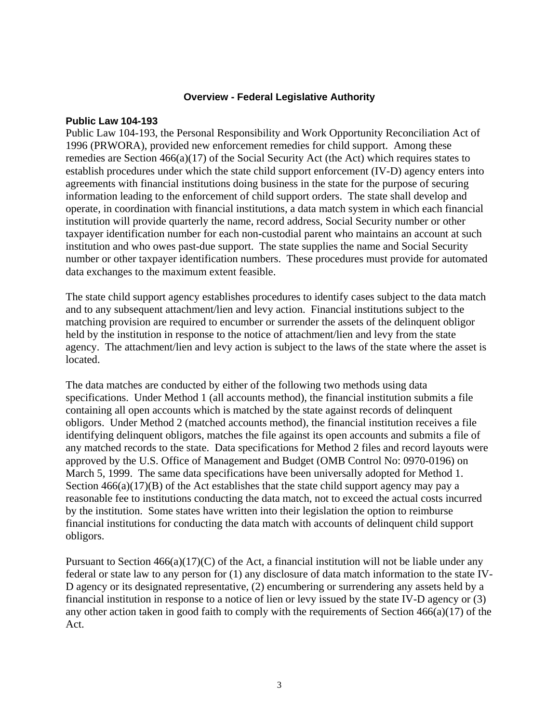#### **Overview - Federal Legislative Authority**

#### **Public Law 104-193**

Public Law 104-193, the Personal Responsibility and Work Opportunity Reconciliation Act of 1996 (PRWORA), provided new enforcement remedies for child support. Among these remedies are Section 466(a)(17) of the Social Security Act (the Act) which requires states to establish procedures under which the state child support enforcement (IV-D) agency enters into agreements with financial institutions doing business in the state for the purpose of securing information leading to the enforcement of child support orders. The state shall develop and operate, in coordination with financial institutions, a data match system in which each financial institution will provide quarterly the name, record address, Social Security number or other taxpayer identification number for each non-custodial parent who maintains an account at such institution and who owes past-due support. The state supplies the name and Social Security number or other taxpayer identification numbers. These procedures must provide for automated data exchanges to the maximum extent feasible.

The state child support agency establishes procedures to identify cases subject to the data match and to any subsequent attachment/lien and levy action. Financial institutions subject to the matching provision are required to encumber or surrender the assets of the delinquent obligor held by the institution in response to the notice of attachment/lien and levy from the state agency. The attachment/lien and levy action is subject to the laws of the state where the asset is located.

The data matches are conducted by either of the following two methods using data specifications. Under Method 1 (all accounts method), the financial institution submits a file containing all open accounts which is matched by the state against records of delinquent obligors. Under Method 2 (matched accounts method), the financial institution receives a file identifying delinquent obligors, matches the file against its open accounts and submits a file of any matched records to the state. Data specifications for Method 2 files and record layouts were approved by the U.S. Office of Management and Budget (OMB Control No: 0970-0196) on March 5, 1999. The same data specifications have been universally adopted for Method 1. Section  $466(a)(17)(B)$  of the Act establishes that the state child support agency may pay a reasonable fee to institutions conducting the data match, not to exceed the actual costs incurred by the institution. Some states have written into their legislation the option to reimburse financial institutions for conducting the data match with accounts of delinquent child support obligors.

Pursuant to Section  $466(a)(17)(C)$  of the Act, a financial institution will not be liable under any federal or state law to any person for (1) any disclosure of data match information to the state IV-D agency or its designated representative, (2) encumbering or surrendering any assets held by a financial institution in response to a notice of lien or levy issued by the state IV-D agency or (3) any other action taken in good faith to comply with the requirements of Section 466(a)(17) of the Act.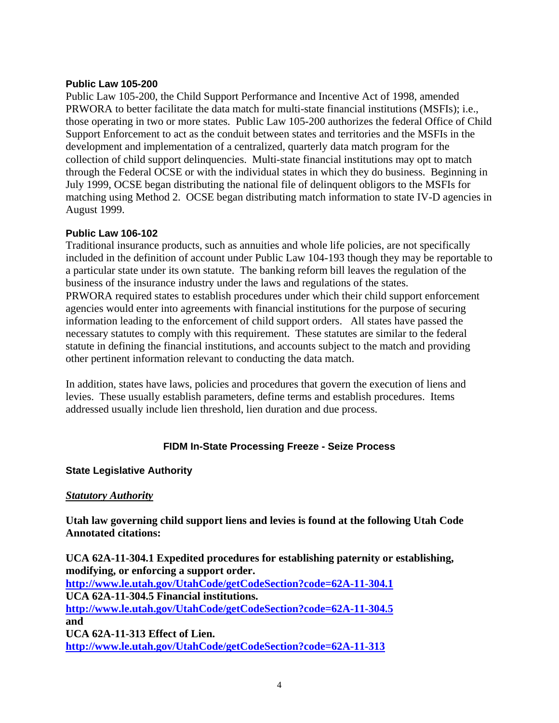#### **Public Law 105-200**

Public Law 105-200, the Child Support Performance and Incentive Act of 1998, amended PRWORA to better facilitate the data match for multi-state financial institutions (MSFIs); i.e., those operating in two or more states. Public Law 105-200 authorizes the federal Office of Child Support Enforcement to act as the conduit between states and territories and the MSFIs in the development and implementation of a centralized, quarterly data match program for the collection of child support delinquencies. Multi-state financial institutions may opt to match through the Federal OCSE or with the individual states in which they do business. Beginning in July 1999, OCSE began distributing the national file of delinquent obligors to the MSFIs for matching using Method 2. OCSE began distributing match information to state IV-D agencies in August 1999.

#### **Public Law 106-102**

Traditional insurance products, such as annuities and whole life policies, are not specifically included in the definition of account under Public Law 104-193 though they may be reportable to a particular state under its own statute. The banking reform bill leaves the regulation of the business of the insurance industry under the laws and regulations of the states. PRWORA required states to establish procedures under which their child support enforcement agencies would enter into agreements with financial institutions for the purpose of securing information leading to the enforcement of child support orders. All states have passed the necessary statutes to comply with this requirement. These statutes are similar to the federal statute in defining the financial institutions, and accounts subject to the match and providing other pertinent information relevant to conducting the data match.

In addition, states have laws, policies and procedures that govern the execution of liens and levies. These usually establish parameters, define terms and establish procedures. Items addressed usually include lien threshold, lien duration and due process.

#### **FIDM In-State Processing Freeze - Seize Process**

#### **State Legislative Authority**

#### *Statutory Authority*

**Utah law governing child support liens and levies is found at the following Utah Code Annotated citations:** 

**UCA 62A-11-304.1 Expedited procedures for establishing paternity or establishing, modifying, or enforcing a support order. http://www.le.utah.gov/UtahCode/getCodeSection?code=62A-11-304.1 UCA 62A-11-304.5 Financial institutions. http://www.le.utah.gov/UtahCode/getCodeSection?code=62A-11-304.5 and UCA 62A-11-313 Effect of Lien. http://www.le.utah.gov/UtahCode/getCodeSection?code=62A-11-313**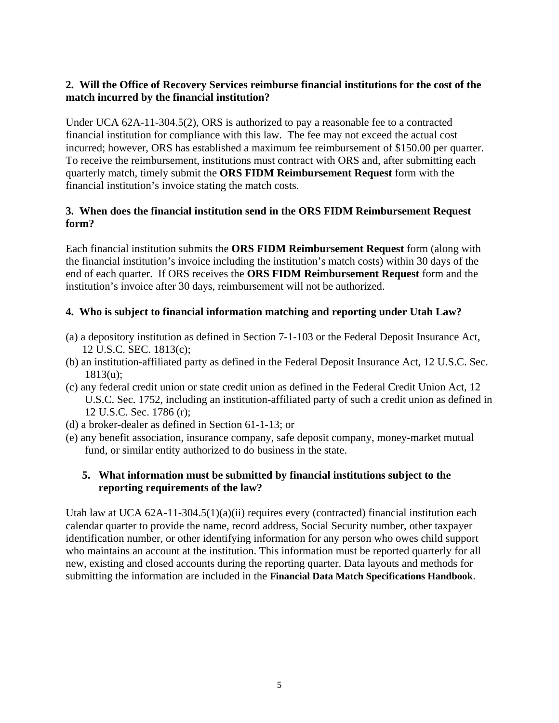## **2. Will the Office of Recovery Services reimburse financial institutions for the cost of the match incurred by the financial institution?**

Under UCA 62A-11-304.5(2), ORS is authorized to pay a reasonable fee to a contracted financial institution for compliance with this law. The fee may not exceed the actual cost incurred; however, ORS has established a maximum fee reimbursement of \$150.00 per quarter. To receive the reimbursement, institutions must contract with ORS and, after submitting each quarterly match, timely submit the **ORS FIDM Reimbursement Request** form with the financial institution's invoice stating the match costs.

## **3. When does the financial institution send in the ORS FIDM Reimbursement Request form?**

Each financial institution submits the **ORS FIDM Reimbursement Request** form (along with the financial institution's invoice including the institution's match costs) within 30 days of the end of each quarter. If ORS receives the **ORS FIDM Reimbursement Request** form and the institution's invoice after 30 days, reimbursement will not be authorized.

## **4. Who is subject to financial information matching and reporting under Utah Law?**

- (a) a depository institution as defined in Section 7-1-103 or the Federal Deposit Insurance Act, 12 U.S.C. SEC. 1813(c);
- (b) an institution-affiliated party as defined in the Federal Deposit Insurance Act, 12 U.S.C. Sec. 1813(u);
- (c) any federal credit union or state credit union as defined in the Federal Credit Union Act, 12 U.S.C. Sec. 1752, including an institution-affiliated party of such a credit union as defined in 12 U.S.C. Sec. 1786 (r);
- (d) a broker-dealer as defined in Section 61-1-13; or
- (e) any benefit association, insurance company, safe deposit company, money-market mutual fund, or similar entity authorized to do business in the state.

## **5. What information must be submitted by financial institutions subject to the reporting requirements of the law?**

Utah law at UCA  $62A-11-304.5(1)(a)(ii)$  requires every (contracted) financial institution each calendar quarter to provide the name, record address, Social Security number, other taxpayer identification number, or other identifying information for any person who owes child support who maintains an account at the institution. This information must be reported quarterly for all new, existing and closed accounts during the reporting quarter. Data layouts and methods for submitting the information are included in the **Financial Data Match Specifications Handbook**.